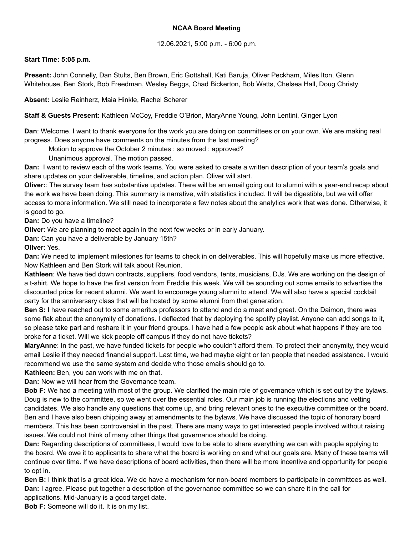## **NCAA Board Meeting**

## 12.06.2021, 5:00 p.m. - 6:00 p.m.

## **Start Time: 5:05 p.m.**

**Present:** John Connelly, Dan Stults, Ben Brown, Eric Gottshall, Kati Baruja, Oliver Peckham, Miles Iton, Glenn Whitehouse, Ben Stork, Bob Freedman, Wesley Beggs, Chad Bickerton, Bob Watts, Chelsea Hall, Doug Christy

**Absent:** Leslie Reinherz, Maia Hinkle, Rachel Scherer

**Staff & Guests Present:** Kathleen McCoy, Freddie O'Brion, MaryAnne Young, John Lentini, Ginger Lyon

**Dan**: Welcome. I want to thank everyone for the work you are doing on committees or on your own. We are making real progress. Does anyone have comments on the minutes from the last meeting?

Motion to approve the October 2 minutes ; so moved ; approved?

Unanimous approval. The motion passed.

**Dan:** I want to review each of the work teams. You were asked to create a written description of your team's goals and share updates on your deliverable, timeline, and action plan. Oliver will start.

**Oliver:**: The survey team has substantive updates. There will be an email going out to alumni with a year-end recap about the work we have been doing. This summary is narrative, with statistics included. It will be digestible, but we will offer access to more information. We still need to incorporate a few notes about the analytics work that was done. Otherwise, it is good to go.

**Dan:** Do you have a timeline?

**Oliver**: We are planning to meet again in the next few weeks or in early January.

**Dan:** Can you have a deliverable by January 15th?

**Oliver**: Yes.

**Dan:** We need to implement milestones for teams to check in on deliverables. This will hopefully make us more effective. Now Kathleen and Ben Stork will talk about Reunion.

**Kathleen**: We have tied down contracts, suppliers, food vendors, tents, musicians, DJs. We are working on the design of a t-shirt. We hope to have the first version from Freddie this week. We will be sounding out some emails to advertise the discounted price for recent alumni. We want to encourage young alumni to attend. We will also have a special cocktail party for the anniversary class that will be hosted by some alumni from that generation.

**Ben S:** I have reached out to some emeritus professors to attend and do a meet and greet. On the Daimon, there was some flak about the anonymity of donations. I deflected that by deploying the spotify playlist. Anyone can add songs to it, so please take part and reshare it in your friend groups. I have had a few people ask about what happens if they are too broke for a ticket. Will we kick people off campus if they do not have tickets?

**MaryAnne**: In the past, we have funded tickets for people who couldn't afford them. To protect their anonymity, they would email Leslie if they needed financial support. Last time, we had maybe eight or ten people that needed assistance. I would recommend we use the same system and decide who those emails should go to.

**Kathleen:** Ben, you can work with me on that.

**Dan:** Now we will hear from the Governance team.

**Bob F:** We had a meeting with most of the group. We clarified the main role of governance which is set out by the bylaws. Doug is new to the committee, so we went over the essential roles. Our main job is running the elections and vetting candidates. We also handle any questions that come up, and bring relevant ones to the executive committee or the board. Ben and I have also been chipping away at amendments to the bylaws. We have discussed the topic of honorary board members. This has been controversial in the past. There are many ways to get interested people involved without raising issues. We could not think of many other things that governance should be doing.

**Dan:** Regarding descriptions of committees, I would love to be able to share everything we can with people applying to the board. We owe it to applicants to share what the board is working on and what our goals are. Many of these teams will continue over time. If we have descriptions of board activities, then there will be more incentive and opportunity for people to opt in.

**Ben B:** I think that is a great idea. We do have a mechanism for non-board members to participate in committees as well. **Dan:** I agree. Please put together a description of the governance committee so we can share it in the call for applications. Mid-January is a good target date.

**Bob F:** Someone will do it. It is on my list.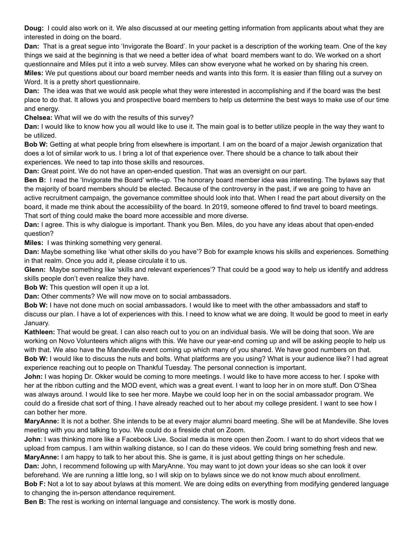**Doug:** I could also work on it. We also discussed at our meeting getting information from applicants about what they are interested in doing on the board.

**Dan:** That is a great segue into 'Invigorate the Board'. In your packet is a description of the working team. One of the key things we said at the beginning is that we need a better idea of what board members want to do. We worked on a short questionnaire and Miles put it into a web survey. Miles can show everyone what he worked on by sharing his creen.

**Miles:** We put questions about our board member needs and wants into this form. It is easier than filling out a survey on Word. It is a pretty short questionnaire.

**Dan:** The idea was that we would ask people what they were interested in accomplishing and if the board was the best place to do that. It allows you and prospective board members to help us determine the best ways to make use of our time and energy.

**Chelsea:** What will we do with the results of this survey?

**Dan:** I would like to know how you all would like to use it. The main goal is to better utilize people in the way they want to be utilized.

**Bob W:** Getting at what people bring from elsewhere is important. I am on the board of a major Jewish organization that does a lot of similar work to us. I bring a lot of that experience over. There should be a chance to talk about their experiences. We need to tap into those skills and resources.

**Dan:** Great point. We do not have an open-ended question. That was an oversight on our part.

**Ben B:** I read the 'Invigorate the Board' write-up. The honorary board member idea was interesting. The bylaws say that the majority of board members should be elected. Because of the controversy in the past, if we are going to have an active recruitment campaign, the governance committee should look into that. When I read the part about diversity on the board, it made me think about the accessibility of the board. In 2019, someone offered to find travel to board meetings. That sort of thing could make the board more accessible and more diverse.

**Dan:** I agree. This is why dialogue is important. Thank you Ben. Miles, do you have any ideas about that open-ended question?

**Miles:** I was thinking something very general.

**Dan:** Maybe something like 'what other skills do you have'? Bob for example knows his skills and experiences. Something in that realm. Once you add it, please circulate it to us.

**Glenn:** Maybe something like 'skills and relevant experiences'? That could be a good way to help us identify and address skills people don't even realize they have.

**Bob W:** This question will open it up a lot.

**Dan:** Other comments? We will now move on to social ambassadors.

**Bob W:** I have not done much on social ambassadors. I would like to meet with the other ambassadors and staff to discuss our plan. I have a lot of experiences with this. I need to know what we are doing. It would be good to meet in early January.

**Kathleen:** That would be great. I can also reach out to you on an individual basis. We will be doing that soon. We are working on Novo Volunteers which aligns with this. We have our year-end coming up and will be asking people to help us with that. We also have the Mandeville event coming up which many of you shared. We have good numbers on that. **Bob W:** I would like to discuss the nuts and bolts. What platforms are you using? What is your audience like? I had agreat experience reaching out to people on Thankful Tuesday. The personal connection is important.

**John:** I was hoping Dr. Okker would be coming to more meetings. I would like to have more access to her. I spoke with her at the ribbon cutting and the MOD event, which was a great event. I want to loop her in on more stuff. Don O'Shea was always around. I would like to see her more. Maybe we could loop her in on the social ambassador program. We could do a fireside chat sort of thing. I have already reached out to her about my college president. I want to see how I can bother her more.

**MaryAnne:** It is not a bother. She intends to be at every major alumni board meeting. She will be at Mandeville. She loves meeting with you and talking to you. We could do a fireside chat on Zoom.

**John**: I was thinking more like a Facebook Live. Social media is more open then Zoom. I want to do short videos that we upload from campus. I am within walking distance, so I can do these videos. We could bring something fresh and new. **MaryAnne:** I am happy to talk to her about this. She is game, it is just about getting things on her schedule.

**Dan:** John, I recommend following up with MaryAnne. You may want to jot down your ideas so she can look it over beforehand. We are running a little long, so I will skip on to bylaws since we do not know much about enrollment.

**Bob F:** Not a lot to say about bylaws at this moment. We are doing edits on everything from modifying gendered language to changing the in-person attendance requirement.

**Ben B:** The rest is working on internal language and consistency. The work is mostly done.